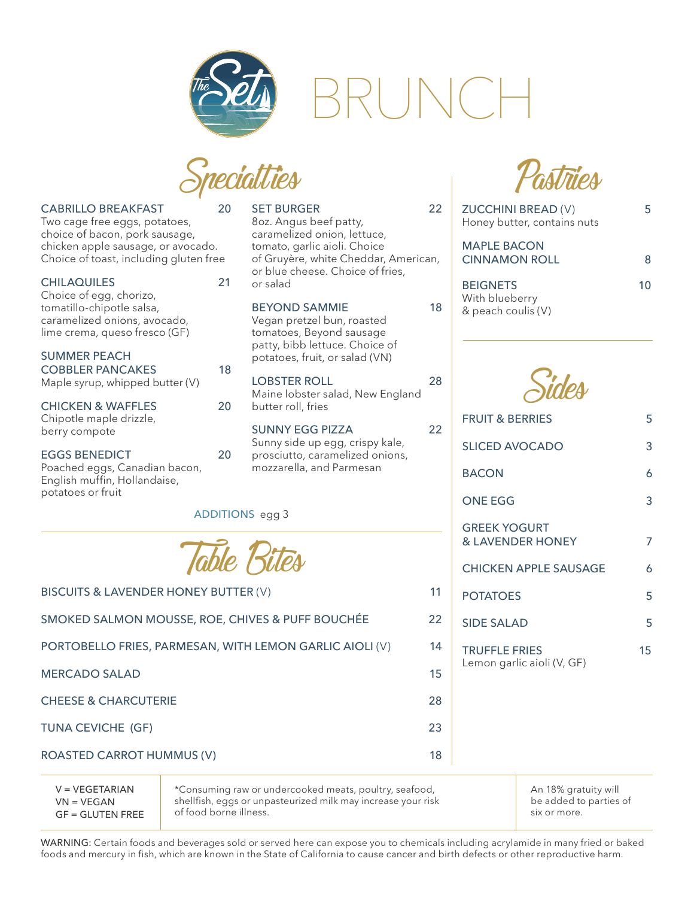



| <b>CABRILLO BREAKFAST</b><br>20<br>Two cage free eggs, potatoes,<br>choice of bacon, pork sausage,<br>chicken apple sausage, or avocado.<br>Choice of toast, including gluten free |    | <b>SET BURGER</b><br>8oz. Angus beef patty,<br>caramelized onion, lettuce,<br>tomato, garlic aioli. Choice<br>of Gruyère, white Cheddar, American, | 22 |
|------------------------------------------------------------------------------------------------------------------------------------------------------------------------------------|----|----------------------------------------------------------------------------------------------------------------------------------------------------|----|
| <b>CHILAQUILES</b>                                                                                                                                                                 | 21 | or blue cheese. Choice of fries,<br>or salad                                                                                                       |    |
| Choice of egg, chorizo,<br>tomatillo-chipotle salsa,<br>caramelized onions, avocado,<br>lime crema, queso fresco (GF)<br><b>SUMMER PEACH</b>                                       |    | <b>BEYOND SAMMIE</b><br>Vegan pretzel bun, roasted<br>tomatoes, Beyond sausage<br>patty, bibb lettuce. Choice of<br>potatoes, fruit, or salad (VN) | 18 |
| <b>COBBLER PANCAKES</b><br>Maple syrup, whipped butter (V)                                                                                                                         | 18 | <b>LOBSTER ROLL</b>                                                                                                                                | 28 |
| <b>CHICKEN &amp; WAFFLES</b>                                                                                                                                                       | 20 | Maine lobster salad, New England<br>butter roll, fries                                                                                             |    |
| Chipotle maple drizzle,<br>berry compote                                                                                                                                           |    | <b>SUNNY EGG PIZZA</b>                                                                                                                             | 22 |
| <b>EGGS BENEDICT</b><br>Poached eggs, Canadian bacon,<br>English muffin, Hollandaise,<br>potatoes or fruit                                                                         | 20 | Sunny side up egg, crispy kale,<br>prosciutto, caramelized onions,<br>mozzarella, and Parmesan                                                     |    |
| <b>ADDITIONS</b> egg 3                                                                                                                                                             |    |                                                                                                                                                    |    |
|                                                                                                                                                                                    |    | Table Rites                                                                                                                                        |    |
| BISCUITS & LAVENDER HONEY BUTTER (V)                                                                                                                                               |    |                                                                                                                                                    | 11 |
| SMOKED SALMON MOUSSE, ROE, CHIVES & PUFF BOUCHÉE                                                                                                                                   |    |                                                                                                                                                    | 22 |
| PORTOBELLO FRIES, PARMESAN, WITH LEMON GARLIC AIOLI (V)                                                                                                                            |    |                                                                                                                                                    | 14 |

MERCADO SALAD 15

CHEESE & CHARCUTERIE 28

TUNA CEVICHE (GF) 23



| <b>ZUCCHINI BREAD (V)</b><br>Honey butter, contains nuts |  |
|----------------------------------------------------------|--|
| <b>MAPLE BACON</b><br><b>CINNAMON ROLL</b>               |  |
| <b>BEIGNETS</b><br>With blueberry<br>& peach coulis (V)  |  |

| Sides |
|-------|
|       |

| <b>FRUIT &amp; BERRIES</b>                         | 5  |
|----------------------------------------------------|----|
| <b>SLICED AVOCADO</b>                              | 3  |
| <b>BACON</b>                                       | 6  |
| <b>ONE EGG</b>                                     | 3  |
| <b>GREEK YOGURT</b><br><b>&amp; LAVENDER HONEY</b> | 7  |
| <b>CHICKEN APPLE SAUSAGE</b>                       | 6  |
| <b>POTATOES</b>                                    | 5  |
| <b>SIDE SALAD</b>                                  | 5  |
| <b>TRUFFLE FRIES</b><br>Lemon garlic aioli (V, GF) | 15 |
|                                                    |    |
|                                                    |    |

ROASTED CARROT HUMMUS (V) 18 V = VEGETARIAN

 $VN = VEGAN$ GF = GLUTEN FREE

\*Consuming raw or undercooked meats, poultry, seafood, shellfish, eggs or unpasteurized milk may increase your risk of food borne illness.

An 18% gratuity will be added to parties of six or more.

WARNING: Certain foods and beverages sold or served here can expose you to chemicals including acrylamide in many fried or baked foods and mercury in fish, which are known in the State of California to cause cancer and birth defects or other reproductive harm.